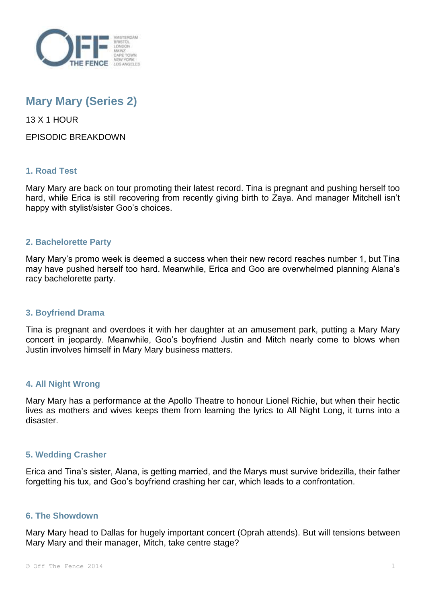

# **Mary Mary (Series 2)**

13 X 1 HOUR

EPISODIC BREAKDOWN

## **1. Road Test**

Mary Mary are back on tour promoting their latest record. Tina is pregnant and pushing herself too hard, while Erica is still recovering from recently giving birth to Zaya. And manager Mitchell isn't happy with stylist/sister Goo's choices.

## **2. Bachelorette Party**

Mary Mary's promo week is deemed a success when their new record reaches number 1, but Tina may have pushed herself too hard. Meanwhile, Erica and Goo are overwhelmed planning Alana's racy bachelorette party.

## **3. Boyfriend Drama**

Tina is pregnant and overdoes it with her daughter at an amusement park, putting a Mary Mary concert in jeopardy. Meanwhile, Goo's boyfriend Justin and Mitch nearly come to blows when Justin involves himself in Mary Mary business matters.

## **4. All Night Wrong**

Mary Mary has a performance at the Apollo Theatre to honour Lionel Richie, but when their hectic lives as mothers and wives keeps them from learning the lyrics to All Night Long, it turns into a disaster.

## **5. Wedding Crasher**

Erica and Tina's sister, Alana, is getting married, and the Marys must survive bridezilla, their father forgetting his tux, and Goo's boyfriend crashing her car, which leads to a confrontation.

# **6. The Showdown**

Mary Mary head to Dallas for hugely important concert (Oprah attends). But will tensions between Mary Mary and their manager, Mitch, take centre stage?